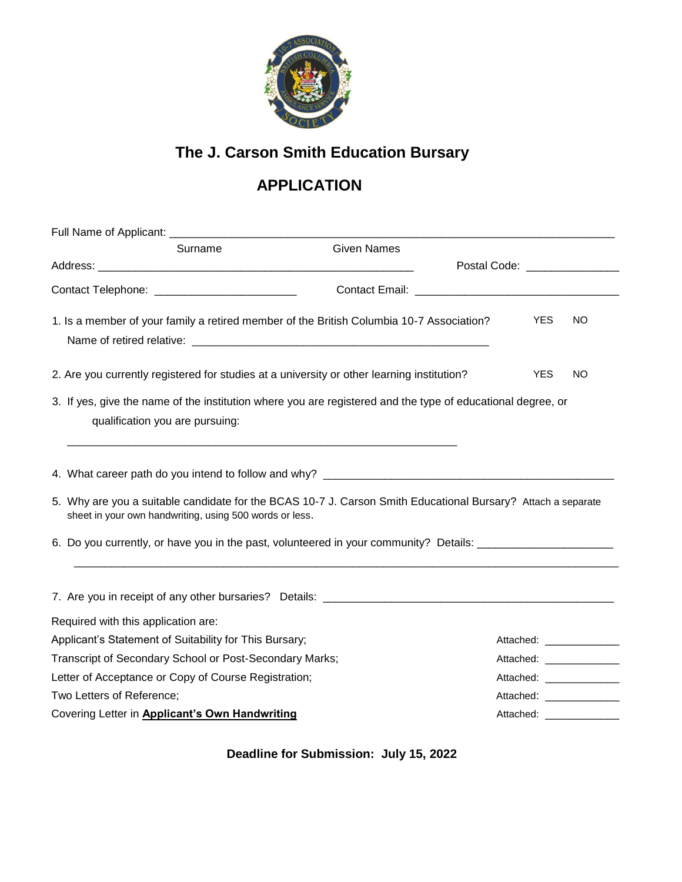

## **The J. Carson Smith Education Bursary**

## **APPLICATION**

| Surname                                                                                                                                                                 | <b>Given Names</b> |                                         |                           |
|-------------------------------------------------------------------------------------------------------------------------------------------------------------------------|--------------------|-----------------------------------------|---------------------------|
|                                                                                                                                                                         |                    | Postal Code: ________________           |                           |
| Contact Telephone: __________________________                                                                                                                           |                    | Contact Email: Excellent Contact Email: |                           |
| 1. Is a member of your family a retired member of the British Columbia 10-7 Association?                                                                                |                    |                                         | <b>YES</b><br><b>NO</b>   |
| 2. Are you currently registered for studies at a university or other learning institution?                                                                              |                    |                                         | <b>YES</b><br>NO.         |
| 3. If yes, give the name of the institution where you are registered and the type of educational degree, or<br>qualification you are pursuing:                          |                    |                                         |                           |
| 5. Why are you a suitable candidate for the BCAS 10-7 J. Carson Smith Educational Bursary? Attach a separate<br>sheet in your own handwriting, using 500 words or less. |                    |                                         |                           |
| 6. Do you currently, or have you in the past, volunteered in your community? Details: ____________________                                                              |                    |                                         |                           |
|                                                                                                                                                                         |                    |                                         |                           |
| Required with this application are:                                                                                                                                     |                    |                                         |                           |
| Applicant's Statement of Suitability for This Bursary;                                                                                                                  |                    |                                         | Attached: _______________ |
| Transcript of Secondary School or Post-Secondary Marks;                                                                                                                 |                    |                                         |                           |
| Letter of Acceptance or Copy of Course Registration;                                                                                                                    |                    |                                         | Attached: _______________ |
| Two Letters of Reference;                                                                                                                                               |                    |                                         | Attached: ______________  |
| Covering Letter in Applicant's Own Handwriting                                                                                                                          |                    |                                         |                           |

**Deadline for Submission: July 15, 2022**